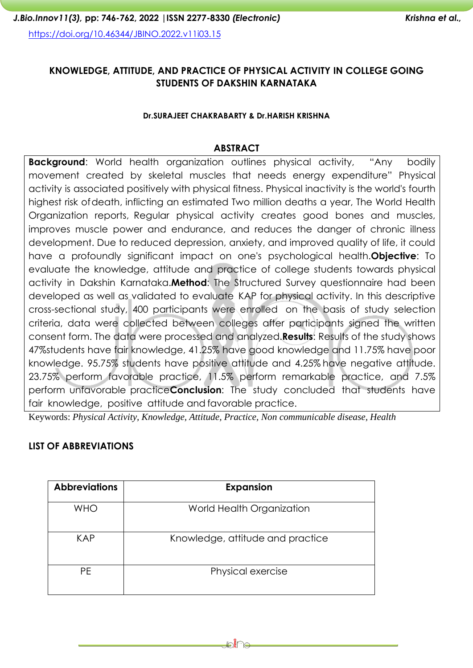# **KNOWLEDGE, ATTITUDE, AND PRACTICE OF PHYSICAL ACTIVITY IN COLLEGE GOING STUDENTS OF DAKSHIN KARNATAKA**

#### **Dr.SURAJEET CHAKRABARTY & Dr.HARISH KRISHNA**

#### **ABSTRACT**

**Background:** World health organization outlines physical activity, "Any bodily movement created by skeletal muscles that needs energy expenditure" Physical activity is associated positively with physical fitness. Physical inactivity is the world's fourth highest risk ofdeath, inflicting an estimated Two million deaths a year, The World Health Organization reports, Regular physical activity creates good bones and muscles, improves muscle power and endurance, and reduces the danger of chronic illness development. Due to reduced depression, anxiety, and improved quality of life, it could have a profoundly significant impact on one's psychological health.**Objective**: To evaluate the knowledge, attitude and practice of college students towards physical activity in Dakshin Karnataka.**Method**: The Structured Survey questionnaire had been developed as well as validated to evaluate KAP for physical activity. In this descriptive cross-sectional study, 400 participants were enrolled on the basis of study selection criteria, data were collected between colleges after participants signed the written consent form. The data were processed and analyzed.**Results**: Results of the study shows 47%students have fair knowledge, 41.25% have good knowledge and 11.75% have poor knowledge. 95.75% students have positive attitude and 4.25% have negative attitude. 23.75% perform favorable practice, 11.5% perform remarkable practice, and 7.5% perform unfavorable practice**Conclusion**: The study concluded that students have fair knowledge, positive attitude and favorable practice.

Keywords: *Physical Activity, Knowledge, Attitude, Practice, Non communicable disease, Health*

#### **LIST OF ABBREVIATIONS**

| <b>Abbreviations</b> | <b>Expansion</b>                 |
|----------------------|----------------------------------|
| <b>WHO</b>           | World Health Organization        |
| <b>KAP</b>           | Knowledge, attitude and practice |
| <b>PE</b>            | Physical exercise                |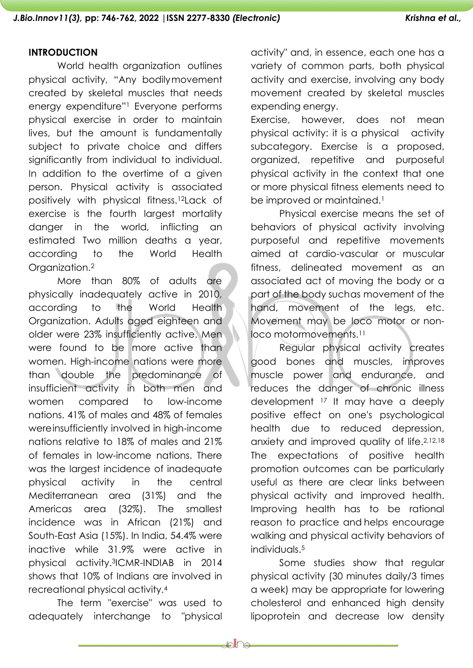#### **INTRODUCTION**

World health organization outlines physical activity, "Any bodilymovement created by skeletal muscles that needs energy expenditure"<sup>1</sup> Everyone performs physical exercise in order to maintain lives, but the amount is fundamentally subject to private choice and differs significantly from individual to individual. In addition to the overtime of a given person. Physical activity is associated positively with physical fitness.12Lack of exercise is the fourth largest mortality danger in the world, inflicting an estimated Two million deaths a year, according to the World Health Organization.<sup>2</sup>

More than 80% of adults are physically inadequately active in 2010, according to the World Health Organization. Adults aged eighteen and older were 23% insufficiently active. Men were found to be more active than women. High-income nations were more than double the predominance of insufficient activity in both men and women compared to low-income nations. 41% of males and 48% of females wereinsufficiently involved in high-income nations relative to 18% of males and 21% of females in low-income nations. There was the largest incidence of inadequate physical activity in the central Mediterranean area (31%) and the Americas area (32%). The smallest incidence was in African (21%) and South-East Asia (15%). In India, 54.4% were inactive while 31.9% were active in physical activity.3ICMR-INDIAB in 2014 shows that 10% of Indians are involved in recreational physical activity.<sup>4</sup>

The term "exercise" was used to adequately interchange to "physical activity" and, in essence, each one has a variety of common parts, both physical activity and exercise, involving any body movement created by skeletal muscles expending energy.

Exercise, however, does not mean physical activity: it is a physical activity subcategory. Exercise is a proposed, organized, repetitive and purposeful physical activity in the context that one or more physical fitness elements need to be improved or maintained.<sup>1</sup>

Physical exercise means the set of behaviors of physical activity involving purposeful and repetitive movements aimed at cardio-vascular or muscular fitness, delineated movement as an associated act of moving the body or a part of the body suchas movement of the hand, movement of the legs, etc. Movement may be loco motor or nonloco motormovements.<sup>11</sup>

Regular physical activity creates good bones and muscles, improves muscle power and endurance, and reduces the danger of chronic illness development <sup>17</sup> It may have a deeply positive effect on one's psychological health due to reduced depression, anxiety and improved quality of life.2,12,18 The expectations of positive health promotion outcomes can be particularly useful as there are clear links between physical activity and improved health. Improving health has to be rational reason to practice and helps encourage walking and physical activity behaviors of individuals.<sup>5</sup>

Some studies show that regular physical activity (30 minutes daily/3 times a week) may be appropriate for lowering cholesterol and enhanced high density lipoprotein and decrease low density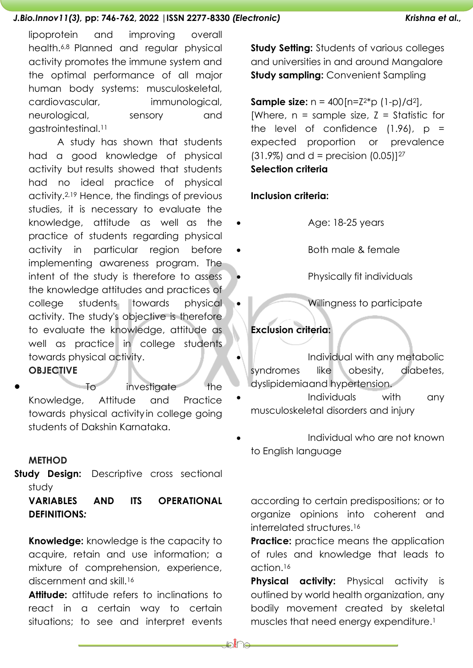lipoprotein and improving overall health.6,8 Planned and regular physical activity promotes the immune system and the optimal performance of all major human body systems: musculoskeletal, cardiovascular, immunological, neurological, sensory and gastrointestinal.<sup>11</sup>

A study has shown that students had a good knowledge of physical activity but results showed that students had no ideal practice of physical activity.2,19 Hence, the findings of previous studies, it is necessary to evaluate the knowledge, attitude as well as the practice of students regarding physical activity in particular region before implementing awareness program. The intent of the study is therefore to assess the knowledge attitudes and practices of college students towards physical activity. The study's objective is therefore to evaluate the knowledge, attitude as well as practice in college students towards physical activity.

## **OBJECTIVE**

To investigate the Knowledge, Attitude and Practice towards physical activity in college going students of Dakshin Karnataka.

#### **METHOD**

**Study Design:** Descriptive cross sectional study

# **VARIABLES AND ITS OPERATIONAL DEFINITIONS***:*

**Knowledge:** knowledge is the capacity to acquire, retain and use information; a mixture of comprehension, experience, discernment and skill.<sup>16</sup>

**Attitude:** attitude refers to inclinations to react in a certain way to certain situations; to see and interpret events **Study Setting:** Students of various colleges and universities in and around Mangalore **Study sampling:** Convenient Sampling

# **Sample size:**  $n = 400$   $[n=Z^{2*}p(1-p)/d^2]$ ,

[Where,  $n =$  sample size,  $Z =$  Statistic for the level of confidence  $(1.96)$ ,  $p =$ expected proportion or prevalence  $(31.9\%)$  and d = precision  $(0.05)$ ]<sup>27</sup> **Selection criteria**

#### **Inclusion criteria:**

- Age: 18-25 years
	- Both male & female

• Physically fit individuals

• Willingness to participate

## **Exclusion criteria:**

- Individual with any metabolic syndromes like obesity, diabetes, dyslipidemiaand hypertension.
- Individuals with any musculoskeletal disorders and injury
- Individual who are not known to English language

according to certain predispositions; or to organize opinions into coherent and interrelated structures.<sup>16</sup>

**Practice:** practice means the application of rules and knowledge that leads to action.<sup>16</sup>

**Physical activity:** Physical activity is outlined by world health organization, any bodily movement created by skeletal muscles that need energy expenditure.<sup>1</sup>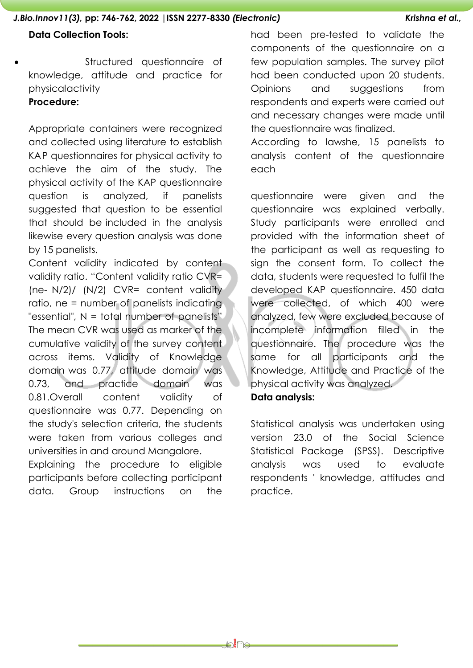#### **Data Collection Tools:**

• Structured questionnaire of knowledge, attitude and practice for physicalactivity

# **Procedure:**

Appropriate containers were recognized and collected using literature to establish KAP questionnaires for physical activity to achieve the aim of the study. The physical activity of the KAP questionnaire question is analyzed, if panelists suggested that question to be essential that should be included in the analysis likewise every question analysis was done by 15 panelists.

Content validity indicated by content validity ratio. "Content validity ratio CVR= (ne- N/2)/ (N/2) CVR= content validity ratio, ne = number of panelists indicating "essential", N = total number of panelists" The mean CVR was used as marker of the cumulative validity of the survey content across items. Validity of Knowledge domain was 0.77, attitude domain was 0.73, and practice domain was 0.81.Overall content validity of questionnaire was 0.77. Depending on the study's selection criteria, the students were taken from various colleges and universities in and around Mangalore.

Explaining the procedure to eligible participants before collecting participant data. Group instructions on the had been pre-tested to validate the components of the questionnaire on a few population samples. The survey pilot had been conducted upon 20 students. Opinions and suggestions from respondents and experts were carried out and necessary changes were made until the questionnaire was finalized.

According to lawshe, 15 panelists to analysis content of the questionnaire each

questionnaire were given and the questionnaire was explained verbally. Study participants were enrolled and provided with the information sheet of the participant as well as requesting to sign the consent form. To collect the data, students were requested to fulfil the developed KAP questionnaire. 450 data were collected, of which 400 were analyzed, few were excluded because of incomplete information filled in the questionnaire. The procedure was the same for all participants and the Knowledge, Attitude and Practice of the physical activity was analyzed. **Data analysis:**

Statistical analysis was undertaken using version 23.0 of the Social Science Statistical Package (SPSS). Descriptive analysis was used to evaluate respondents ' knowledge, attitudes and practice.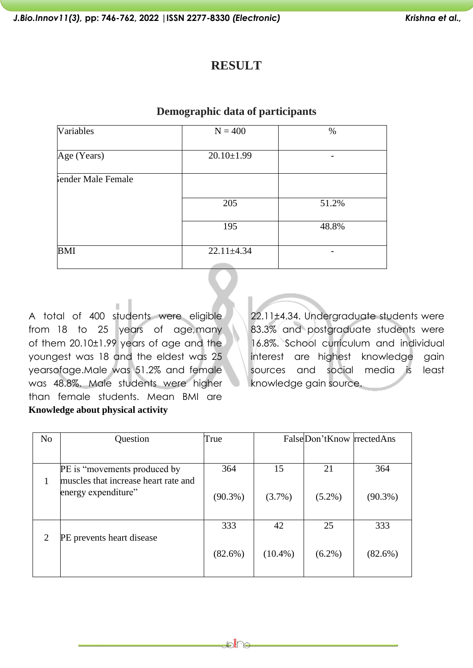# **RESULT**

#### **Demographic data of participants**

| Variables          | $N = 400$        | %     |
|--------------------|------------------|-------|
|                    |                  |       |
| Age (Years)        | $20.10 \pm 1.99$ |       |
|                    |                  |       |
| Fender Male Female |                  |       |
|                    |                  |       |
|                    | 205              | 51.2% |
|                    |                  |       |
|                    | 195              | 48.8% |
|                    |                  |       |
| <b>BMI</b>         | $22.11 \pm 4.34$ |       |
|                    |                  |       |

A total of 400 students were eligible from 18 to 25 years of age,many of them 20.10±1.99 years of age and the youngest was 18 and the eldest was 25 yearsofage.Male was 51.2% and female was 48.8%. Male students were higher than female students. Mean BMI are **Knowledge about physical activity**

22.11±4.34. Undergraduate students were 83.3% and postgraduate students were 16.8%. School curriculum and individual interest are highest knowledge gain sources and social media is least knowledge gain source.

| N <sub>o</sub> | Question                                                    | True       |            | FalseDon'tKnow rrectedAns |            |
|----------------|-------------------------------------------------------------|------------|------------|---------------------------|------------|
|                |                                                             |            |            |                           |            |
|                | PE is "movements produced by"                               | 364        | 15         | 21                        | 364        |
|                | muscles that increase heart rate and<br>energy expenditure" | $(90.3\%)$ | $(3.7\%)$  | $(5.2\%)$                 | $(90.3\%)$ |
|                |                                                             | 333        | 42         | 25                        | 333        |
|                | PE prevents heart disease                                   |            |            |                           |            |
|                |                                                             | $(82.6\%)$ | $(10.4\%)$ | $(6.2\%)$                 | (82.6%)    |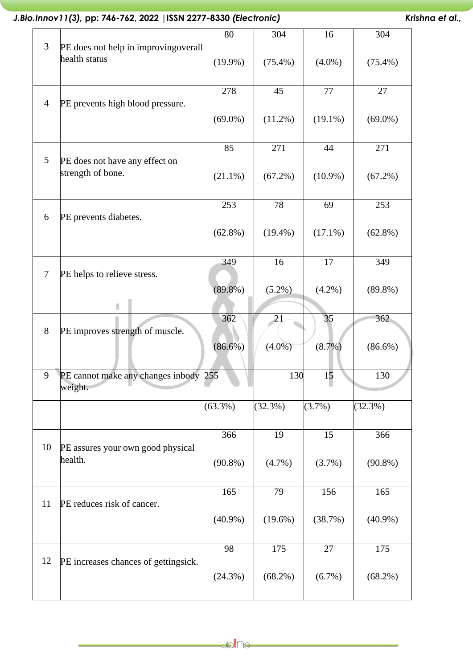|                |                                                        | 80         | 304        | 16         | 304        |
|----------------|--------------------------------------------------------|------------|------------|------------|------------|
| 3              | PE does not help in improving overall<br>health status | $(19.9\%)$ | $(75.4\%)$ | $(4.0\%)$  | $(75.4\%)$ |
|                |                                                        | 278        | 45         | 77         | 27         |
| $\overline{4}$ | PE prevents high blood pressure.                       | $(69.0\%)$ | $(11.2\%)$ | $(19.1\%)$ | $(69.0\%)$ |
|                |                                                        | 85         | 271        | 44         | 271        |
| 5              | PE does not have any effect on<br>strength of bone.    | $(21.1\%)$ | $(67.2\%)$ | $(10.9\%)$ | $(67.2\%)$ |
|                |                                                        | 253        | 78         | 69         | 253        |
| 6              | PE prevents diabetes.                                  | $(62.8\%)$ | $(19.4\%)$ | $(17.1\%)$ | $(62.8\%)$ |
|                |                                                        | 349        | 16         | 17         | 349        |
| $\tau$         | PE helps to relieve stress.                            | $(89.8\%)$ | $(5.2\%)$  | $(4.2\%)$  | $(89.8\%)$ |
|                |                                                        |            |            |            |            |
| 8              | PE improves strength of muscle.                        | 362        | 21         | 35         | 362        |
|                |                                                        | $(86.6\%)$ | $(4.0\%)$  | (8.7%)     | $(86.6\%)$ |
| 9              | PE cannot make any changes inbody 255<br>weight.       |            | 130        | 15         | 130        |
|                |                                                        | $(63.3\%)$ | (32.3%)    | (3.7%)     | (32.3%)    |
|                |                                                        | 366        | 19         | 15         | 366        |
| 10             | PE assures your own good physical                      |            |            |            |            |
|                | health.                                                | $(90.8\%)$ | (4.7%)     | (3.7%)     | $(90.8\%)$ |
|                |                                                        | 165        | 79         | 156        | 165        |
| 11             | PE reduces risk of cancer.                             |            |            |            |            |
|                |                                                        | $(40.9\%)$ | $(19.6\%)$ | (38.7%)    | $(40.9\%)$ |
|                |                                                        | 98         | 175        | 27         | 175        |
| 12             | PE increases chances of gettingsick.                   | $(24.3\%)$ | $(68.2\%)$ | (6.7%)     | $(68.2\%)$ |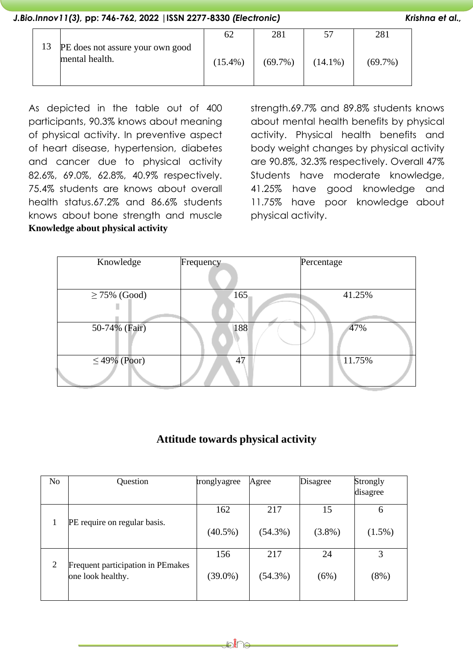|    |                                                    | 62         | 281        |            | 281        |
|----|----------------------------------------------------|------------|------------|------------|------------|
| 13 | PE does not assure your own good<br>mental health. | $(15.4\%)$ | $(69.7\%)$ | $(14.1\%)$ | $(69.7\%)$ |

As depicted in the table out of 400 participants, 90.3% knows about meaning of physical activity. In preventive aspect of heart disease, hypertension, diabetes and cancer due to physical activity 82.6%, 69.0%, 62.8%, 40.9% respectively. 75.4% students are knows about overall health status.67.2% and 86.6% students knows about bone strength and muscle **Knowledge about physical activity**

strength.69.7% and 89.8% students knows about mental health benefits by physical activity. Physical health benefits and body weight changes by physical activity are 90.8%, 32.3% respectively. Overall 47% Students have moderate knowledge, 41.25% have good knowledge and 11.75% have poor knowledge about physical activity.

| Knowledge         | Frequency | Percentage |
|-------------------|-----------|------------|
|                   |           |            |
| $\geq$ 75% (Good) | 165       | 41.25%     |
|                   |           |            |
| 50-74% (Fair)     | 188       | 47%        |
|                   |           |            |
| $\leq$ 49% (Poor) | 47        | 11.75%     |
|                   |           |            |

# **Attitude towards physical activity**

| N <sub>o</sub> | Question                                               | tronglyagree | Agree      | Disagree  | Strongly  |
|----------------|--------------------------------------------------------|--------------|------------|-----------|-----------|
|                |                                                        |              |            |           | disagree  |
|                |                                                        | 162          | 217        | 15        | 6         |
|                | PE require on regular basis.                           | $(40.5\%)$   | $(54.3\%)$ | $(3.8\%)$ | $(1.5\%)$ |
|                |                                                        | 156          | 217        | 24        | 3         |
| 2              | Frequent participation in PEmakes<br>one look healthy. | $(39.0\%)$   | $(54.3\%)$ | (6%)      | $(8\%)$   |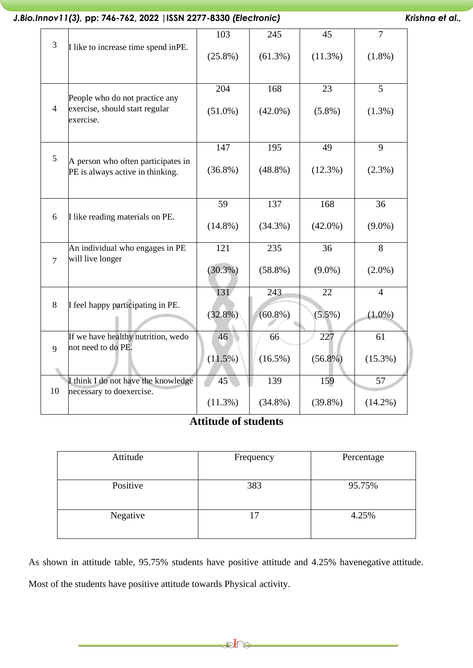|                |                                                                               | 103        | 245        | 45         | $\overline{7}$ |
|----------------|-------------------------------------------------------------------------------|------------|------------|------------|----------------|
| $\overline{3}$ | I like to increase time spend in PE.                                          | $(25.8\%)$ | $(61.3\%)$ | $(11.3\%)$ | $(1.8\%)$      |
|                |                                                                               | 204        | 168        | 23         | 5              |
| $\overline{4}$ | People who do not practice any<br>exercise, should start regular<br>exercise. | $(51.0\%)$ | $(42.0\%)$ | $(5.8\%)$  | $(1.3\%)$      |
|                |                                                                               | 147        | 195        | 49         | 9              |
| 5              | A person who often participates in<br>PE is always active in thinking.        | $(36.8\%)$ | $(48.8\%)$ | $(12.3\%)$ | $(2.3\%)$      |
|                |                                                                               | 59         | 137        | 168        | 36             |
| 6              | I like reading materials on PE.                                               | $(14.8\%)$ | $(34.3\%)$ | $(42.0\%)$ | $(9.0\%)$      |
| $\overline{7}$ | An individual who engages in PE<br>will live longer                           | 121        | 235        | 36         | 8              |
|                |                                                                               | $(30.3\%)$ | $(58.8\%)$ | $(9.0\%)$  | $(2.0\%)$      |
|                |                                                                               | 131        | 243        | 22         | $\overline{4}$ |
| 8              | I feel happy participating in PE.                                             | $(32.8\%)$ | $(60.8\%)$ | $(5.5\%)$  | $(1.0\%)$      |
|                | If we have healthy nutrition, wedo                                            | 46         | 66         | 227        | 61             |
| 9              | not need to do PE.                                                            | $(11.5\%)$ | $(16.5\%)$ | $(56.8\%)$ | $(15.3\%)$     |
|                | I think I do not have the knowledge                                           | 45         | 139        | 159        | 57             |
| 10             | necessary to doexercise.                                                      | $(11.3\%)$ | $(34.8\%)$ | $(39.8\%)$ | $(14.2\%)$     |

## **Attitude of students**

| Attitude | Frequency | Percentage |
|----------|-----------|------------|
| Positive | 383       | 95.75%     |
| Negative |           | 4.25%      |

As shown in attitude table, 95.75% students have positive attitude and 4.25% havenegative attitude. Most of the students have positive attitude towards Physical activity.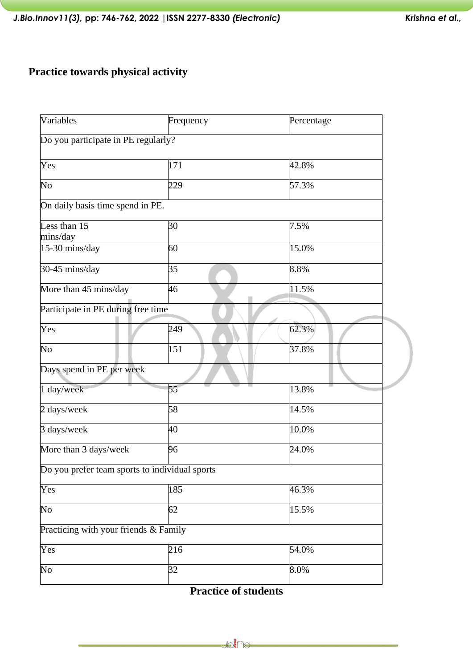# **Practice towards physical activity**

| Variables                                      | Frequency |          |
|------------------------------------------------|-----------|----------|
| Do you participate in PE regularly?            |           |          |
| Yes                                            | 171       | 42.8%    |
| No                                             | 229       | 57.3%    |
| On daily basis time spend in PE.               |           |          |
| Less than $\overline{15}$<br>mins/day          | 30        | 7.5%     |
| 15-30 mins/day                                 | 60        | 15.0%    |
| 30-45 mins/day                                 | 35        | 8.8%     |
| More than 45 mins/day                          | 46        | $11.5\%$ |
| Participate in PE during free time             |           |          |
| Yes                                            | 249       | 62.3%    |
| No                                             | 151       | 37.8%    |
| Days spend in PE per week                      |           |          |
| 1 day/week                                     | 55        | 13.8%    |
| 2 days/week                                    | 58        | 14.5%    |
| 3 days/week                                    | 40        | 10.0%    |
| More than 3 days/week                          | 96        | 24.0%    |
| Do you prefer team sports to individual sports |           |          |
| Yes                                            | 185       | 46.3%    |
| No                                             | 62        | 15.5%    |
| Practicing with your friends & Family          |           |          |
| Yes                                            | 216       | 54.0%    |
| $\overline{\text{No}}$                         | 32        | 8.0%     |

**Practice of students**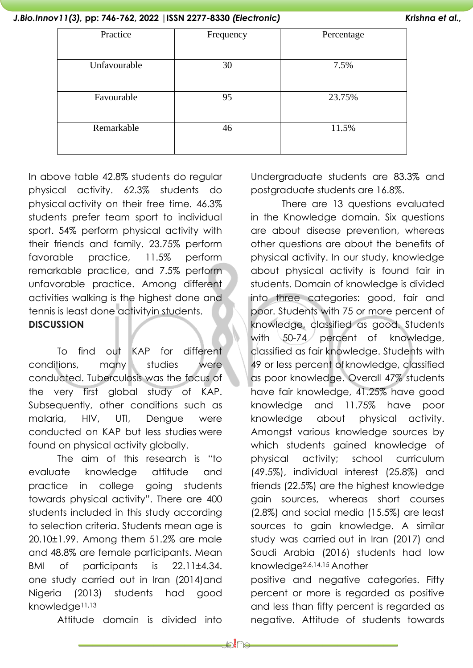| Practice     | Frequency | Percentage |
|--------------|-----------|------------|
|              |           |            |
| Unfavourable | 30        | 7.5%       |
|              |           |            |
| Favourable   | 95        | 23.75%     |
|              |           |            |
| Remarkable   | 46        | 11.5%      |
|              |           |            |
|              |           |            |

In above table 42.8% students do regular physical activity. 62.3% students do physical activity on their free time. 46.3% students prefer team sport to individual sport. 54% perform physical activity with their friends and family. 23.75% perform favorable practice, 11.5% perform remarkable practice, and 7.5% perform unfavorable practice. Among different activities walking is the highest done and tennis is least done activityin students. **DISCUSSION**

To find out KAP for different conditions, many studies were conducted. Tuberculosis was the focus of the very first global study of KAP. Subsequently, other conditions such as malaria, HIV, UTI, Dengue were conducted on KAP but less studies were found on physical activity globally.

The aim of this research is "to evaluate knowledge attitude and practice in college going students towards physical activity". There are 400 students included in this study according to selection criteria. Students mean age is 20.10±1.99. Among them 51.2% are male and 48.8% are female participants. Mean BMI of participants is 22.11±4.34. one study carried out in Iran (2014)and Nigeria (2013) students had good knowledge11,13

Attitude domain is divided into

Undergraduate students are 83.3% and postgraduate students are 16.8%.

There are 13 questions evaluated in the Knowledge domain. Six questions are about disease prevention, whereas other questions are about the benefits of physical activity. In our study, knowledge about physical activity is found fair in students. Domain of knowledge is divided into three categories: good, fair and poor. Students with 75 or more percent of knowledge, classified as good. Students with 50-74 percent of knowledge, classified as fair knowledge. Students with 49 or less percent ofknowledge, classified as poor knowledge. Overall 47% students have fair knowledge, 41.25% have good knowledge and 11.75% have poor knowledge about physical activity. Amongst various knowledge sources by which students gained knowledge of physical activity; school curriculum (49.5%), individual interest (25.8%) and friends (22.5%) are the highest knowledge gain sources, whereas short courses (2.8%) and social media (15.5%) are least sources to gain knowledge. A similar study was carried out in Iran (2017) and Saudi Arabia (2016) students had low knowledge2,6,14,15 Another

positive and negative categories. Fifty percent or more is regarded as positive and less than fifty percent is regarded as negative. Attitude of students towards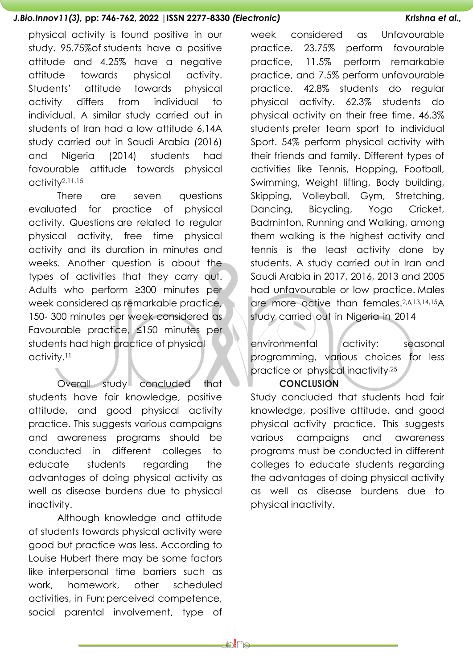physical activity is found positive in our study. 95.75%of students have a positive attitude and 4.25% have a negative attitude towards physical activity. Students' attitude towards physical activity differs from individual to individual. A similar study carried out in students of Iran had a low attitude 6,14A study carried out in Saudi Arabia (2016) and Nigeria (2014) students had favourable attitude towards physical activity2,11,15

There are seven questions evaluated for practice of physical activity. Questions are related to regular physical activity, free time physical activity and its duration in minutes and weeks. Another question is about the types of activities that they carry out. Adults who perform ≥300 minutes per week considered as remarkable practice, 150- 300 minutes per week considered as Favourable practice, ≤150 minutes per students had high practice of physical activity.<sup>11</sup>

Overall study concluded that students have fair knowledge, positive attitude, and good physical activity practice. This suggests various campaigns and awareness programs should be conducted in different colleges to educate students regarding the advantages of doing physical activity as well as disease burdens due to physical inactivity.

Although knowledge and attitude of students towards physical activity were good but practice was less. According to Louise Hubert there may be some factors like interpersonal time barriers such as work, homework, other scheduled activities, in Fun:perceived competence, social parental involvement, type of week considered as Unfavourable practice. 23.75% perform favourable practice, 11.5% perform remarkable practice, and 7.5% perform unfavourable practice. 42.8% students do regular physical activity. 62.3% students do physical activity on their free time. 46.3% students prefer team sport to individual Sport. 54% perform physical activity with their friends and family. Different types of activities like Tennis, Hopping, Football, Swimming, Weight lifting, Body building, Skipping, Volleyball, Gym, Stretching, Dancing, Bicycling, Yoga Cricket, Badminton, Running and Walking, among them walking is the highest activity and tennis is the least activity done by students. A study carried out in Iran and Saudi Arabia in 2017, 2016, 2013 and 2005 had unfavourable or low practice. Males are more active than females.2,6,13,14,15A study carried out in Nigeria in 2014

environmental activity: seasonal programming, various choices for less practice or physical inactivity.25

#### **CONCLUSION**

Study concluded that students had fair knowledge, positive attitude, and good physical activity practice. This suggests various campaigns and awareness programs must be conducted in different colleges to educate students regarding the advantages of doing physical activity as well as disease burdens due to physical inactivity.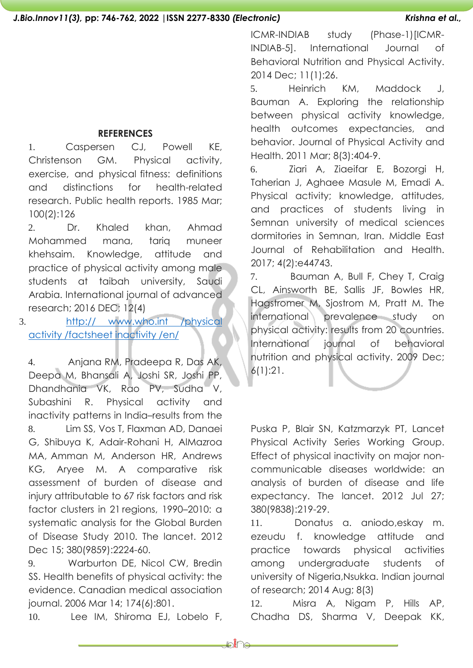#### **REFERENCES**

1. Caspersen CJ, Powell KE, Christenson GM. Physical activity, exercise, and physical fitness: definitions and distinctions for health-related research. Public health reports. 1985 Mar; 100(2):126

2. Dr. Khaled khan, Ahmad Mohammed mana, tariq muneer khehsaim. Knowledge, attitude and practice of physical activity among male students at taibah university, Saudi Arabia. International journal of advanced research; 2016 DEC; 12(4)

3. http:// [www.who.int](http://www.who.int/physicalactivity/factsheetinactivity/en/) /physical activity [/factsheet](http://www.who.int/physicalactivity/factsheetinactivity/en/) inactivity /en/

4. Anjana RM, Pradeepa R, Das AK, Deepa M, Bhansali A, Joshi SR, Joshi PP, Dhandhania VK, Rao PV, Sudha V, Subashini R. Physical activity and inactivity patterns in India–results from the 8. Lim SS, Vos T, Flaxman AD, Danaei G, Shibuya K, Adair-Rohani H, AlMazroa MA, Amman M, Anderson HR, Andrews KG, Aryee M. A comparative risk assessment of burden of disease and injury attributable to 67 risk factors and risk factor clusters in 21 regions, 1990–2010: a systematic analysis for the Global Burden of Disease Study 2010. The lancet. 2012 Dec 15; 380(9859):2224-60.

9. Warburton DE, Nicol CW, Bredin SS. Health benefits of physical activity: the evidence. Canadian medical association journal. 2006 Mar 14; 174(6):801.

10. Lee IM, Shiroma EJ, Lobelo F,

ICMR-INDIAB study (Phase-1)[ICMR-INDIAB-5]. International Journal of Behavioral Nutrition and Physical Activity. 2014 Dec; 11(1):26.

5. Heinrich KM, Maddock J, Bauman A. Exploring the relationship between physical activity knowledge, health outcomes expectancies, and behavior. Journal of Physical Activity and Health. 2011 Mar; 8(3):404-9.

6. Ziari A, Ziaeifar E, Bozorgi H, Taherian J, Aghaee Masule M, Emadi A. Physical activity; knowledge, attitudes, and practices of students living in Semnan university of medical sciences dormitories in Semnan, Iran. Middle East Journal of Rehabilitation and Health. 2017; 4(2):e44743.

7. Bauman A, Bull F, Chey T, Craig CL, Ainsworth BE, Sallis JF, Bowles HR, Hagstromer M, Sjostrom M, Pratt M. The international prevalence study on physical activity: results from 20 countries. International journal of behavioral nutrition and physical activity. 2009 Dec; 6(1):21.

Puska P, Blair SN, Katzmarzyk PT, Lancet Physical Activity Series Working Group. Effect of physical inactivity on major noncommunicable diseases worldwide: an analysis of burden of disease and life expectancy. The lancet. 2012 Jul 27; 380(9838):219-29.

11. Donatus a. aniodo,eskay m. ezeudu f. knowledge attitude and practice towards physical activities among undergraduate students of university of Nigeria,Nsukka. Indian journal of research; 2014 Aug; 8(3)

12. Misra A, Nigam P, Hills AP, Chadha DS, Sharma V, Deepak KK,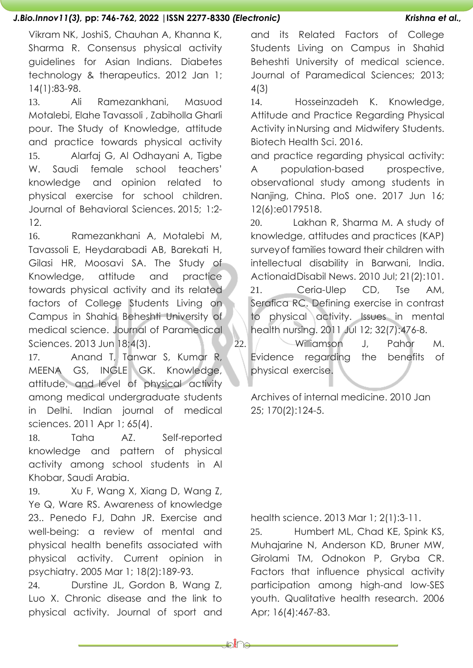Vikram NK, JoshiS, Chauhan A, Khanna K, Sharma R. Consensus physical activity guidelines for Asian Indians. Diabetes technology & therapeutics. 2012 Jan 1; 14(1):83-98.

13. Ali Ramezankhani, Masuod Motalebi, Elahe Tavassoli , Zabiholla Gharli pour. The Study of Knowledge, attitude and practice towards physical activity 15. Alarfaj G, Al Odhayani A, Tigbe W. Saudi female school teachers' knowledge and opinion related to physical exercise for school children. Journal of Behavioral Sciences. 2015; 1:2- 12.

16. Ramezankhani A, Motalebi M, Tavassoli E, Heydarabadi AB, Barekati H, Gilasi HR, Moosavi SA. The Study of Knowledge, attitude and practice towards physical activity and its related factors of College Students Living on Campus in Shahid Beheshti University of medical science. Journal of Paramedical Sciences. 2013 Jun 18;4(3).

17. Anand T, Tanwar S, Kumar R, MEENA GS, INGLE GK. Knowledge, attitude, and level of physical activity among medical undergraduate students in Delhi. Indian journal of medical sciences. 2011 Apr 1; 65(4).

18. Taha AZ. Self-reported knowledge and pattern of physical activity among school students in Al Khobar, Saudi Arabia.

19. Xu F, Wang X, Xiang D, Wang Z, Ye Q, Ware RS. Awareness of knowledge 23.. Penedo FJ, Dahn JR. Exercise and well-being: a review of mental and physical health benefits associated with physical activity. Current opinion in psychiatry. 2005 Mar 1; 18(2):189-93.

24. Durstine JL, Gordon B, Wang Z, Luo X. Chronic disease and the link to physical activity. Journal of sport and and its Related Factors of College Students Living on Campus in Shahid Beheshti University of medical science. Journal of Paramedical Sciences; 2013; 4(3)

14. Hosseinzadeh K. Knowledge, Attitude and Practice Regarding Physical Activity inNursing and Midwifery Students. Biotech Health Sci. 2016.

and practice regarding physical activity: A population-based prospective, observational study among students in Nanjing, China. PloS one. 2017 Jun 16; 12(6):e0179518.

20. Lakhan R, Sharma M. A study of knowledge, attitudes and practices (KAP) surveyof families toward their children with intellectual disability in Barwani, India. ActionaidDisabil News. 2010 Jul; 21(2):101. 21. Ceria-Ulep CD, Tse AM, Serafica RC. Defining exercise in contrast to physical activity. Issues in mental health nursing. 2011 Jul 12; 32(7):476-8.

22. Williamson J, Pahor M. Evidence regarding the benefits of physical exercise.

Archives of internal medicine. 2010 Jan 25; 170(2):124-5.

health science. 2013 Mar 1; 2(1):3-11.

25. Humbert ML, Chad KE, Spink KS, Muhajarine N, Anderson KD, Bruner MW, Girolami TM, Odnokon P, Gryba CR. Factors that influence physical activity participation among high-and low-SES youth. Qualitative health research. 2006 Apr; 16(4):467-83.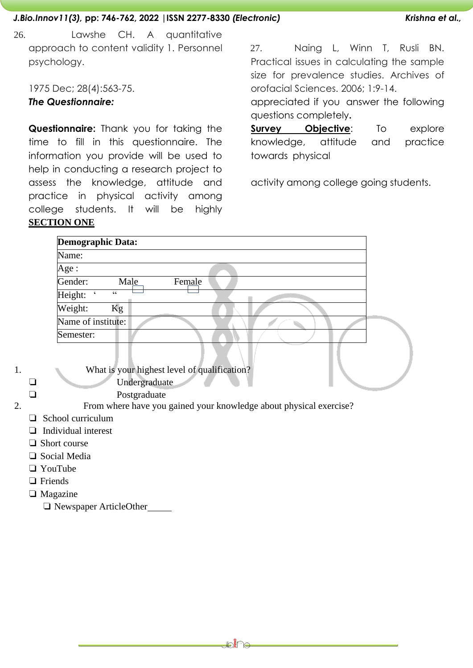26. Lawshe CH. A quantitative approach to content validity 1. Personnel psychology.

1975 Dec; 28(4):563-75.

### *The Questionnaire:*

**Questionnaire:** Thank you for taking the time to fill in this questionnaire. The information you provide will be used to help in conducting a research project to assess the knowledge, attitude and practice in physical activity among college students. It will be highly **SECTION ONE**

27. Naing L, Winn T, Rusli BN. Practical issues in calculating the sample size for prevalence studies. Archives of orofacial Sciences. 2006; 1:9-14.

appreciated if you answer the following questions completely**.**

**Survey Objective**: To explore knowledge, attitude and practice towards physical

activity among college going students.

| <b>Demographic Data:</b>            |        |  |
|-------------------------------------|--------|--|
| Name:                               |        |  |
| Age:                                |        |  |
| Gender:<br>Male                     | Female |  |
| Height:<br>$\textsf{G}\,\textsf{G}$ |        |  |
| Weight:<br>Kg                       |        |  |
| Name of institute:                  |        |  |
| Semester:                           |        |  |
|                                     |        |  |

1. What is your highest level of qualification? ❏ Undergraduate

❏ Postgraduate

- 2. From where have you gained your knowledge about physical exercise?
	- ❏ School curriculum
	- ❏ Individual interest
	- ❏ Short course
	- ❏ Social Media
	- ❏ YouTube
	- ❏ Friends
	- ❏ Magazine
		- ❏ Newspaper ArticleOther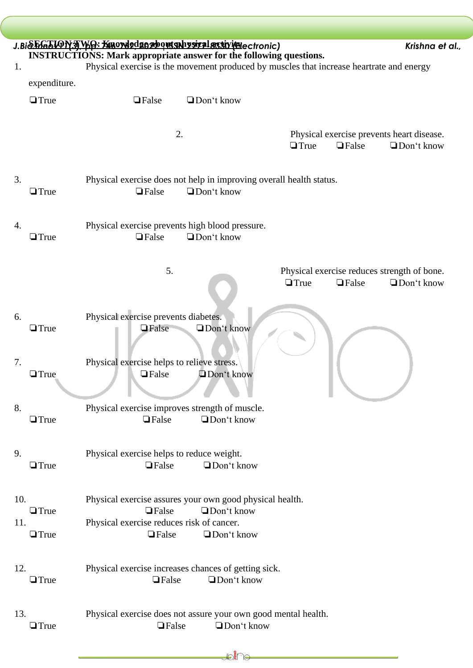|     |              | J.BiSEG5ION3 WQ: Knowlodge2boutshbysizal activitate ctronic)<br>Krishna et al.,          |
|-----|--------------|------------------------------------------------------------------------------------------|
|     |              | <b>INSTRUCTIONS: Mark appropriate answer for the following questions.</b>                |
| 1.  |              | Physical exercise is the movement produced by muscles that increase heartrate and energy |
|     | expenditure. |                                                                                          |
|     |              |                                                                                          |
|     | $\Box$ True  | Don't know<br>$\Box$ False                                                               |
|     |              |                                                                                          |
|     |              |                                                                                          |
|     |              | 2.<br>Physical exercise prevents heart disease.                                          |
|     |              | $\Box$ True<br>$\Box$ False<br>$\Box$ Don't know                                         |
|     |              |                                                                                          |
|     |              |                                                                                          |
| 3.  |              | Physical exercise does not help in improving overall health status.                      |
|     | $\Box$ True  | <b></b> TFalse<br>$\Box$ Don't know                                                      |
|     |              |                                                                                          |
|     |              |                                                                                          |
| 4.  |              | Physical exercise prevents high blood pressure.                                          |
|     | $\Box$ True  | $\Box$ Don't know<br>$\Box$ False                                                        |
|     |              |                                                                                          |
|     |              |                                                                                          |
|     |              | 5.<br>Physical exercise reduces strength of bone.                                        |
|     |              | $\Box$ True<br>$\Box$ False<br>$\Box$ Don't know                                         |
|     |              |                                                                                          |
|     |              |                                                                                          |
| 6.  |              | Physical exercise prevents diabetes.                                                     |
|     | $\Box$ True  | Don't know<br><b>Salse</b>                                                               |
|     |              |                                                                                          |
|     |              |                                                                                          |
| 7.  |              | Physical exercise helps to relieve stress.                                               |
|     | $\Box$ True  | $\Box$ False<br>Don't know                                                               |
|     |              |                                                                                          |
|     |              |                                                                                          |
| 8.  |              | Physical exercise improves strength of muscle.                                           |
|     | $\Box$ True  | $\Box$ False<br>□Don't know                                                              |
|     |              |                                                                                          |
|     |              |                                                                                          |
| 9.  |              | Physical exercise helps to reduce weight.                                                |
|     | $\Box$ True  | Don't know<br>$\Box$ False                                                               |
|     |              |                                                                                          |
|     |              |                                                                                          |
| 10. |              | Physical exercise assures your own good physical health.                                 |
|     | $\Box$ True  | Don't know<br>$\Box$ False                                                               |
| 11. |              | Physical exercise reduces risk of cancer.                                                |
|     | $\Box$ True  | $\Box$ False<br>$\Box$ Don't know                                                        |
|     |              |                                                                                          |
|     |              |                                                                                          |
| 12. |              | Physical exercise increases chances of getting sick.                                     |
|     | $\Box$ True  | Don't know<br>$\Box$ False                                                               |
|     |              |                                                                                          |
|     |              |                                                                                          |
| 13. |              | Physical exercise does not assure your own good mental health.                           |
|     | $\Box$ True  | Don't know<br>$\Box$ False                                                               |
|     |              |                                                                                          |
|     |              |                                                                                          |
|     |              | ₽€⊌                                                                                      |

 $\bigg($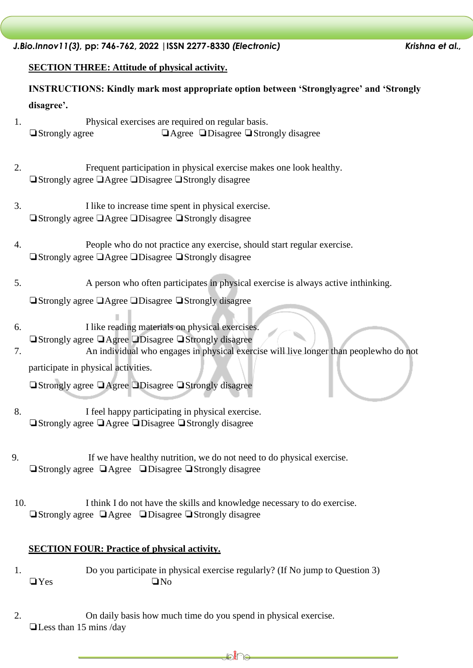#### **SECTION THREE: Attitude of physical activity.**

**INSTRUCTIONS: Kindly mark most appropriate option between 'Stronglyagree' and 'Strongly disagree'.**

- 1. Physical exercises are required on regular basis. ❏Strongly agree ❏Agree ❏Disagree ❏Strongly disagree
- 2. Frequent participation in physical exercise makes one look healthy. ❏Strongly agree ❏Agree ❏Disagree ❏Strongly disagree
- 3. I like to increase time spent in physical exercise. ❏Strongly agree ❏Agree ❏Disagree ❏Strongly disagree
- 4. People who do not practice any exercise, should start regular exercise. ❏Strongly agree ❏Agree ❏Disagree ❏Strongly disagree
- 5. A person who often participates in physical exercise is always active inthinking.
	- ❏Strongly agree ❏Agree ❏Disagree ❏Strongly disagree
- 6. I like reading materials on physical exercises.
- ❏Strongly agree ❏Agree ❏Disagree ❏Strongly disagree
- 7. An individual who engages in physical exercise will live longer than peoplewho do not participate in physical activities.

❏Strongly agree ❏Agree ❏Disagree ❏Strongly disagree

- 8. I feel happy participating in physical exercise. ❏Strongly agree ❏Agree ❏Disagree ❏Strongly disagree
- 9. If we have healthy nutrition, we do not need to do physical exercise. ❏Strongly agree ❏Agree ❏Disagree ❏Strongly disagree
- 10. I think I do not have the skills and knowledge necessary to do exercise. ❏Strongly agree ❏Agree ❏Disagree ❏Strongly disagree

#### **SECTION FOUR: Practice of physical activity.**

- 1. Do you participate in physical exercise regularly? (If No jump to Question 3) ❏Yes ❏No
- 2. On daily basis how much time do you spend in physical exercise. ❏Less than 15 mins /day